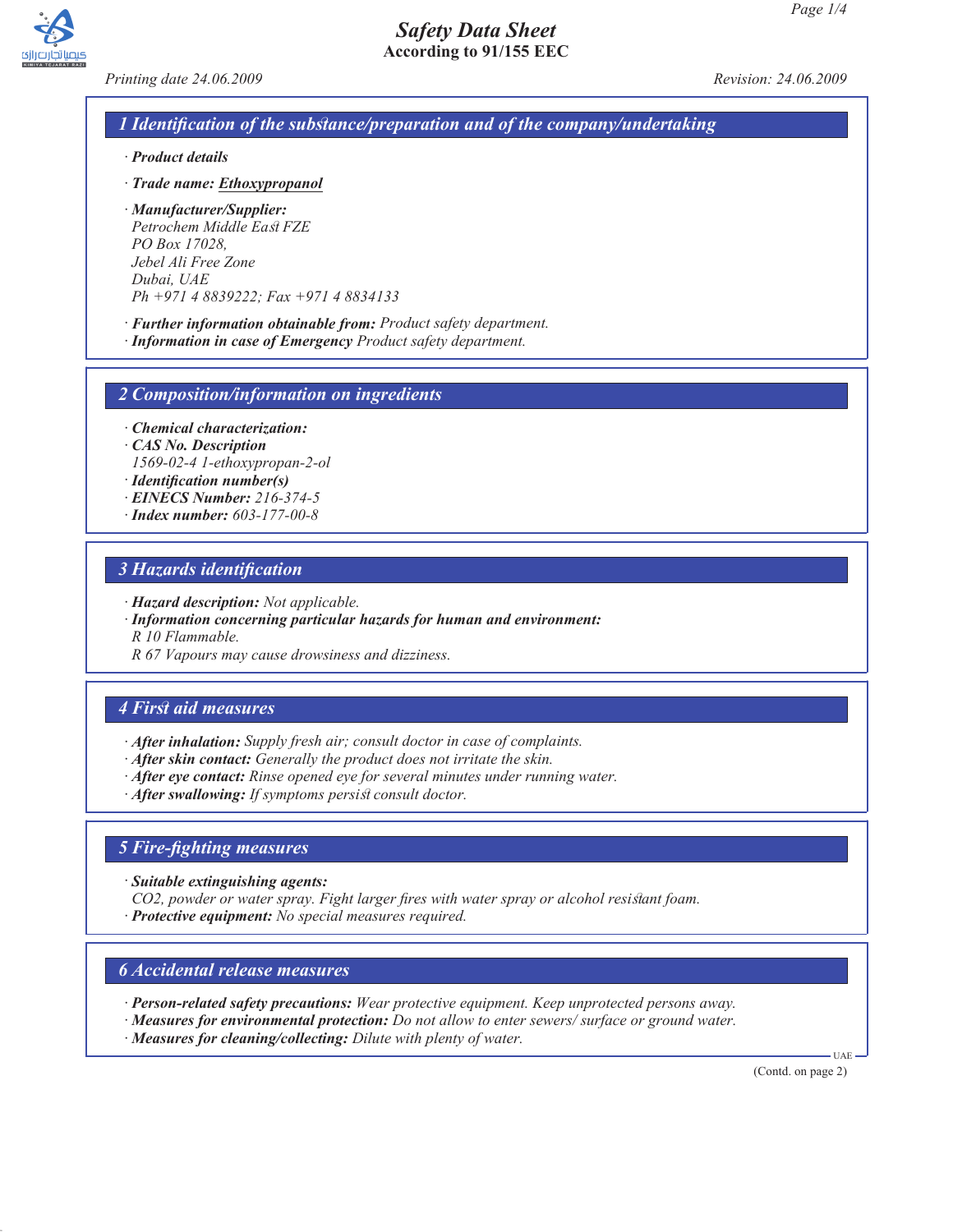

*Printing date 24.06.2009 Revision: 24.06.2009*

# *1 Identification of the substance/preparation and of the company/undertaking*

*Safety Data Sheet* **According to 91/155 EEC**

- *· Product details*
- *· Trade name: Ethoxypropanol*
- *· Manufacturer/Supplier: Petrochem Middle East FZE PO Box 17028, Jebel Ali Free Zone Dubai, UAE Ph +971 4 8839222; Fax +971 4 8834133*
- *· Further information obtainable from: Product safety department.*
- *· Information in case of Emergency Product safety department.*

*2 Composition/information on ingredients*

*· Chemical characterization:*

- *· CAS No. Description 1569-02-4 1-ethoxypropan-2-ol*
- *· Identification number(s)*
- *· EINECS Number: 216-374-5*
- *· Index number: 603-177-00-8*

## *3 Hazards identification*

- *· Hazard description: Not applicable.*
- *· Information concerning particular hazards for human and environment:*

*R 10 Flammable.*

*R 67 Vapours may cause drowsiness and dizziness.*

## *4 First aid measures*

- *· After inhalation: Supply fresh air; consult doctor in case of complaints.*
- *· After skin contact: Generally the product does not irritate the skin.*
- *· After eye contact: Rinse opened eye for several minutes under running water.*
- *· After swallowing: If symptoms persist consult doctor.*

## *5 Fire-fighting measures*

*· Suitable extinguishing agents:*

- *CO2, powder or water spray. Fight larger fires with water spray or alcohol resistant foam.*
- *· Protective equipment: No special measures required.*

## *6 Accidental release measures*

- *· Person-related safety precautions: Wear protective equipment. Keep unprotected persons away.*
- *· Measures for environmental protection: Do not allow to enter sewers/ surface or ground water.*
- *· Measures for cleaning/collecting: Dilute with plenty of water.*

(Contd. on page 2)

UAE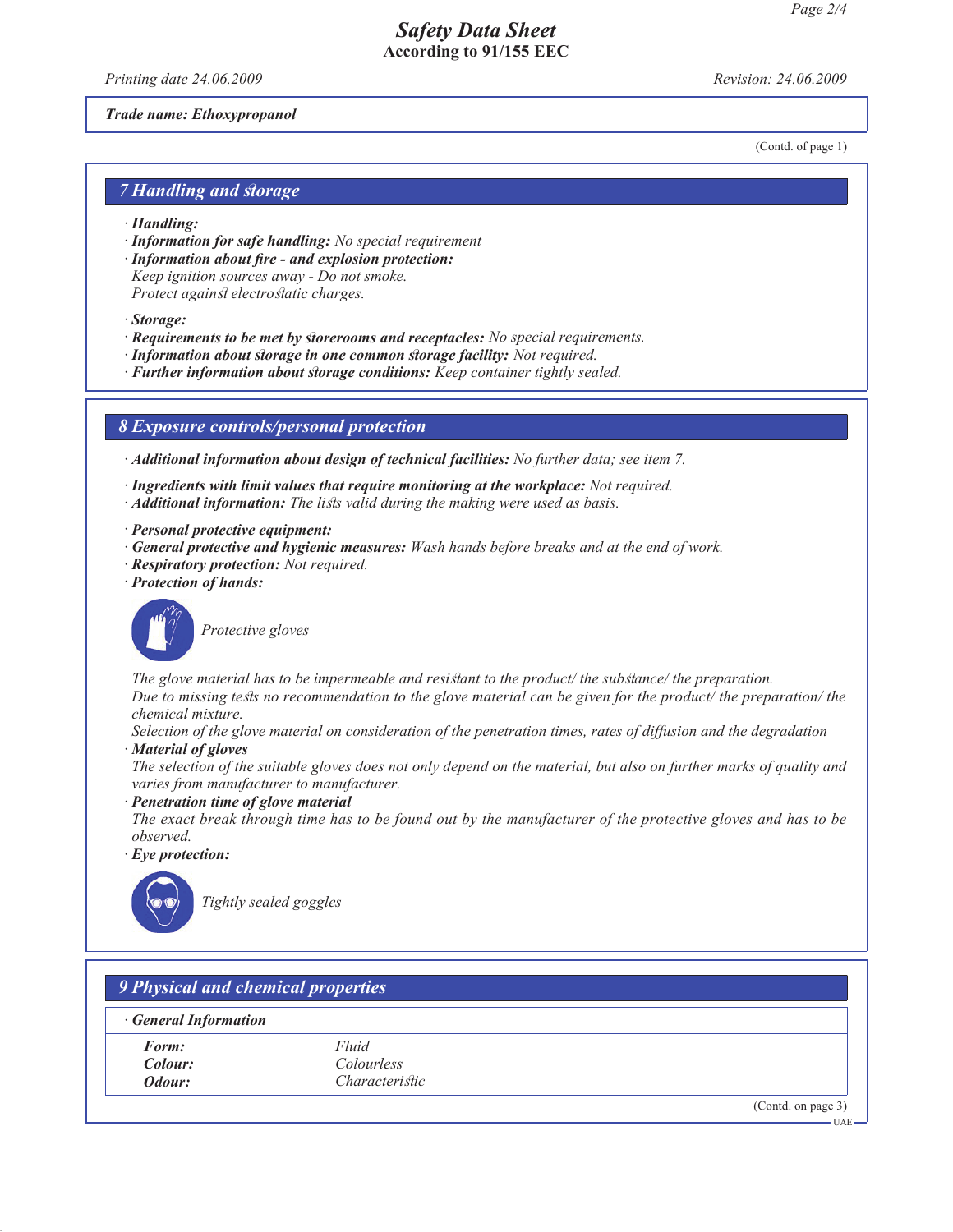# *Safety Data Sheet* **According to 91/155 EEC**

*Printing date 24.06.2009 Revision: 24.06.2009*

#### *Trade name: Ethoxypropanol*

(Contd. of page 1)

### *7 Handling and storage*

- *· Handling:*
- *· Information for safe handling: No special requirement*
- *· Information about fire and explosion protection: Keep ignition sources away - Do not smoke. Protect against electrostatic charges.*
- *· Storage:*
- *· Requirements to be met by storerooms and receptacles: No special requirements.*
- *· Information about storage in one common storage facility: Not required.*
- *· Further information about storage conditions: Keep container tightly sealed.*

### *8 Exposure controls/personal protection*

*· Additional information about design of technical facilities: No further data; see item 7.*

- *· Ingredients with limit values that require monitoring at the workplace: Not required.*
- *· Additional information: The lists valid during the making were used as basis.*
- *· Personal protective equipment:*
- *· General protective and hygienic measures: Wash hands before breaks and at the end of work.*
- *· Respiratory protection: Not required.*
- *· Protection of hands:*



*Protective gloves*

*The glove material has to be impermeable and resistant to the product/ the substance/ the preparation. Due to missing tests no recommendation to the glove material can be given for the product/ the preparation/ the chemical mixture.*

*Selection of the glove material on consideration of the penetration times, rates of diffusion and the degradation · Material of gloves*

- *The selection of the suitable gloves does not only depend on the material, but also on further marks of quality and varies from manufacturer to manufacturer.*
- *· Penetration time of glove material*
- *The exact break through time has to be found out by the manufacturer of the protective gloves and has to be observed.*
- *· Eye protection:*



*Tightly sealed goggles*

| <b>General Information</b> |                       |  |
|----------------------------|-----------------------|--|
| Form:                      | Fluid                 |  |
| Colour:                    | <i>Colourless</i>     |  |
| Odour:                     | <i>Characteristic</i> |  |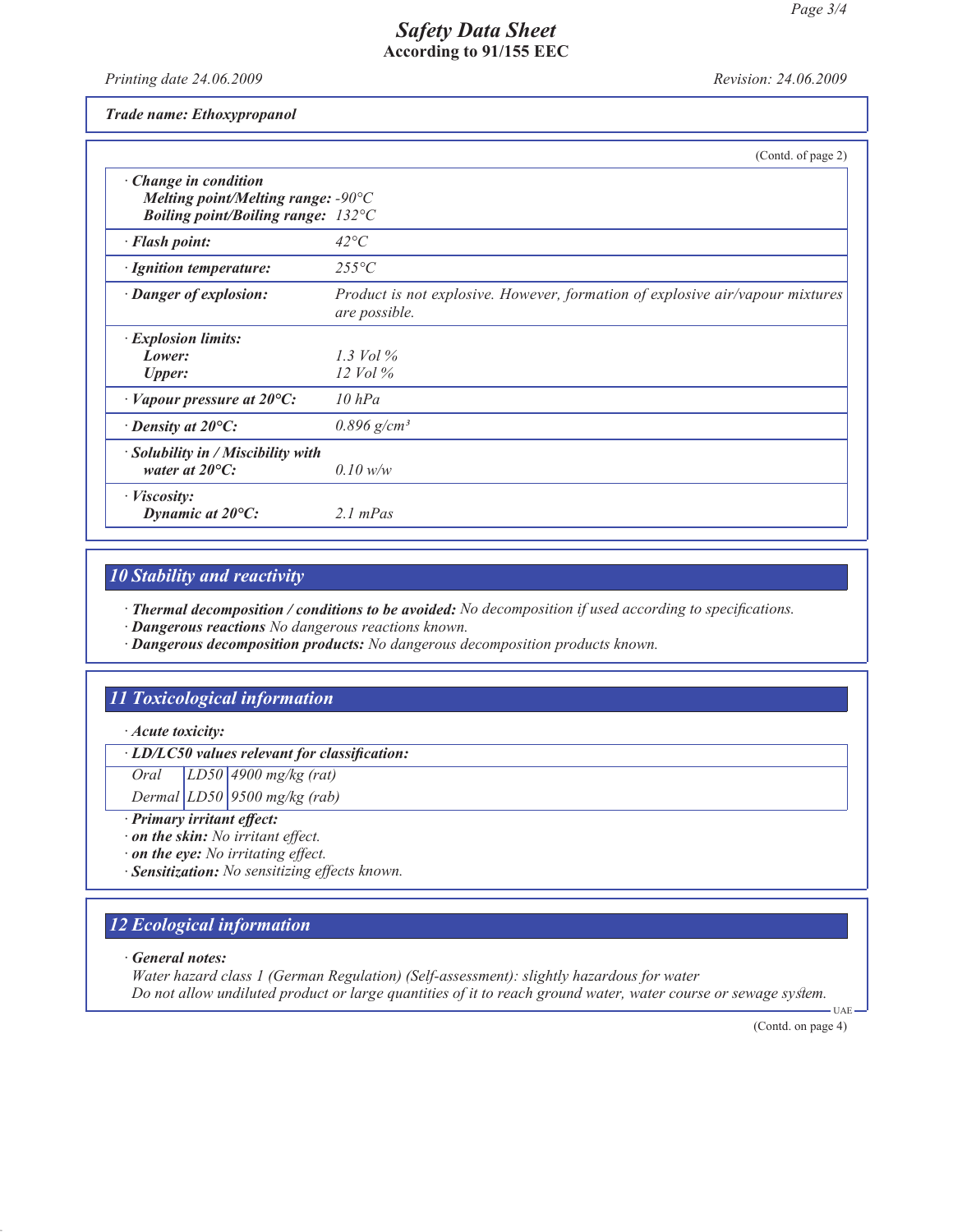## *Safety Data Sheet* **According to 91/155 EEC**

*Printing date 24.06.2009 Revision: 24.06.2009*

*Trade name: Ethoxypropanol*

|                                                                                                                                    | (Contd. of page 2)                                                                             |
|------------------------------------------------------------------------------------------------------------------------------------|------------------------------------------------------------------------------------------------|
| $\cdot$ Change in condition<br>Melting point/Melting range: $-90^{\circ}$ C<br><b>Boiling point/Boiling range:</b> $132^{\circ}$ C |                                                                                                |
| · Flash point:                                                                                                                     | $42^{\circ}C$                                                                                  |
| · Ignition temperature:                                                                                                            | $255^{\circ}C$                                                                                 |
| · Danger of explosion:                                                                                                             | Product is not explosive. However, formation of explosive air/vapour mixtures<br>are possible. |
| · Explosion limits:<br>Lower:<br><b>Upper:</b>                                                                                     | 1.3 Vol $\%$<br>$12$ Vol $\%$                                                                  |
| $\cdot$ Vapour pressure at 20 $\rm{^{\circ}C:}$                                                                                    | $10$ hPa                                                                                       |
| $\cdot$ Density at 20 $\mathrm{^{\circ}C:}$                                                                                        | $0.896$ g/cm <sup>3</sup>                                                                      |
| · Solubility in / Miscibility with<br>water at $20^{\circ}$ C:                                                                     | $0.10$ w/w                                                                                     |
| $\cdot$ <i>Viscosity:</i><br>Dynamic at $20^{\circ}$ C:                                                                            | $2.1$ mPas                                                                                     |

# *10 Stability and reactivity*

*· Thermal decomposition / conditions to be avoided: No decomposition if used according to specifications.*

- *· Dangerous reactions No dangerous reactions known.*
- *· Dangerous decomposition products: No dangerous decomposition products known.*

# *11 Toxicological information*

*· Acute toxicity:*

*· LD/LC50 values relevant for classification:*

*Oral LD50 4900 mg/kg (rat)*

*Dermal LD50 9500 mg/kg (rab)*

- *· Primary irritant effect:*
- *· on the skin: No irritant effect.*
- *· on the eye: No irritating effect.*
- *· Sensitization: No sensitizing effects known.*

# *12 Ecological information*

*· General notes:*

*Water hazard class 1 (German Regulation) (Self-assessment): slightly hazardous for water Do not allow undiluted product or large quantities of it to reach ground water, water course or sewage system.*

(Contd. on page 4)

UAE